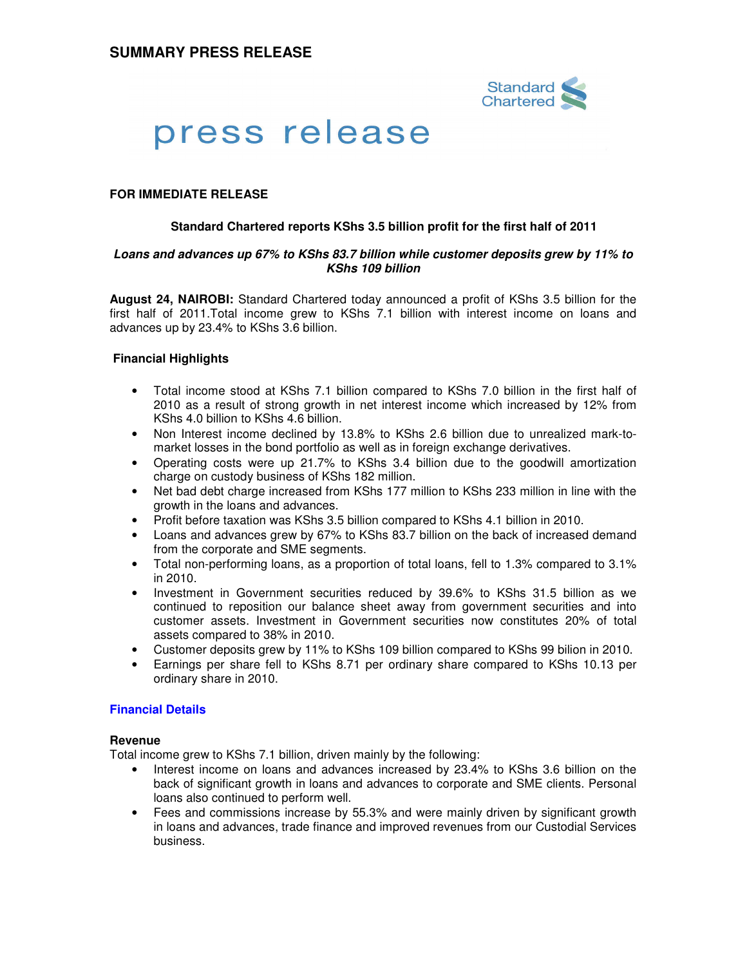

# press release

## **FOR IMMEDIATE RELEASE**

#### **Standard Chartered reports KShs 3.5 billion profit for the first half of 2011**

#### **Loans and advances up 67% to KShs 83.7 billion while customer deposits grew by 11% to KShs 109 billion**

**August 24, NAIROBI:** Standard Chartered today announced a profit of KShs 3.5 billion for the first half of 2011.Total income grew to KShs 7.1 billion with interest income on loans and advances up by 23.4% to KShs 3.6 billion.

#### **Financial Highlights**

- Total income stood at KShs 7.1 billion compared to KShs 7.0 billion in the first half of 2010 as a result of strong growth in net interest income which increased by 12% from KShs 4.0 billion to KShs 4.6 billion.
- Non Interest income declined by 13.8% to KShs 2.6 billion due to unrealized mark-tomarket losses in the bond portfolio as well as in foreign exchange derivatives.
- Operating costs were up 21.7% to KShs 3.4 billion due to the goodwill amortization charge on custody business of KShs 182 million.
- Net bad debt charge increased from KShs 177 million to KShs 233 million in line with the growth in the loans and advances.
- Profit before taxation was KShs 3.5 billion compared to KShs 4.1 billion in 2010.
- Loans and advances grew by 67% to KShs 83.7 billion on the back of increased demand from the corporate and SME segments.
- Total non-performing loans, as a proportion of total loans, fell to 1.3% compared to 3.1% in 2010.
- Investment in Government securities reduced by 39.6% to KShs 31.5 billion as we continued to reposition our balance sheet away from government securities and into customer assets. Investment in Government securities now constitutes 20% of total assets compared to 38% in 2010.
- Customer deposits grew by 11% to KShs 109 billion compared to KShs 99 bilion in 2010.
- Earnings per share fell to KShs 8.71 per ordinary share compared to KShs 10.13 per ordinary share in 2010.

#### **Financial Details**

#### **Revenue**

Total income grew to KShs 7.1 billion, driven mainly by the following:

- Interest income on loans and advances increased by 23.4% to KShs 3.6 billion on the back of significant growth in loans and advances to corporate and SME clients. Personal loans also continued to perform well.
- Fees and commissions increase by 55.3% and were mainly driven by significant growth in loans and advances, trade finance and improved revenues from our Custodial Services business.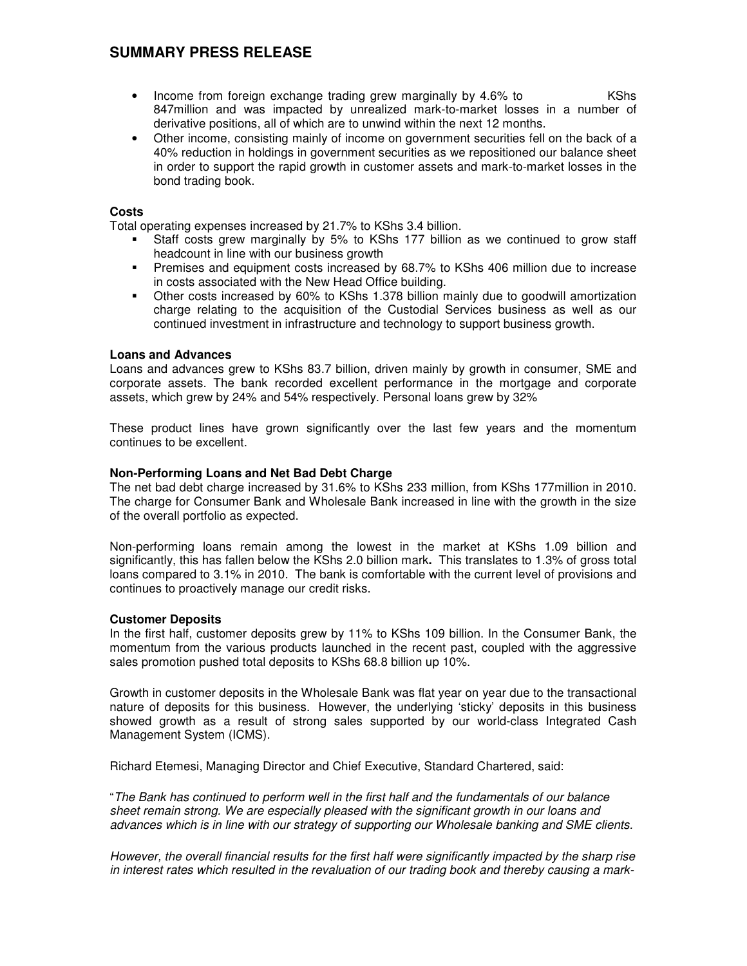## **SUMMARY PRESS RELEASE**

- Income from foreign exchange trading grew marginally by 4.6% to KShs 847million and was impacted by unrealized mark-to-market losses in a number of derivative positions, all of which are to unwind within the next 12 months.
- Other income, consisting mainly of income on government securities fell on the back of a 40% reduction in holdings in government securities as we repositioned our balance sheet in order to support the rapid growth in customer assets and mark-to-market losses in the bond trading book.

#### **Costs**

Total operating expenses increased by 21.7% to KShs 3.4 billion.

- Staff costs grew marginally by 5% to KShs 177 billion as we continued to grow staff headcount in line with our business growth
- Premises and equipment costs increased by 68.7% to KShs 406 million due to increase in costs associated with the New Head Office building.
- Other costs increased by 60% to KShs 1.378 billion mainly due to goodwill amortization charge relating to the acquisition of the Custodial Services business as well as our continued investment in infrastructure and technology to support business growth.

### **Loans and Advances**

Loans and advances grew to KShs 83.7 billion, driven mainly by growth in consumer, SME and corporate assets. The bank recorded excellent performance in the mortgage and corporate assets, which grew by 24% and 54% respectively. Personal loans grew by 32%

These product lines have grown significantly over the last few years and the momentum continues to be excellent.

### **Non-Performing Loans and Net Bad Debt Charge**

The net bad debt charge increased by 31.6% to KShs 233 million, from KShs 177million in 2010. The charge for Consumer Bank and Wholesale Bank increased in line with the growth in the size of the overall portfolio as expected.

Non-performing loans remain among the lowest in the market at KShs 1.09 billion and significantly, this has fallen below the KShs 2.0 billion mark**.** This translates to 1.3% of gross total loans compared to 3.1% in 2010. The bank is comfortable with the current level of provisions and continues to proactively manage our credit risks.

#### **Customer Deposits**

In the first half, customer deposits grew by 11% to KShs 109 billion. In the Consumer Bank, the momentum from the various products launched in the recent past, coupled with the aggressive sales promotion pushed total deposits to KShs 68.8 billion up 10%.

Growth in customer deposits in the Wholesale Bank was flat year on year due to the transactional nature of deposits for this business. However, the underlying 'sticky' deposits in this business showed growth as a result of strong sales supported by our world-class Integrated Cash Management System (ICMS).

Richard Etemesi, Managing Director and Chief Executive, Standard Chartered, said:

"The Bank has continued to perform well in the first half and the fundamentals of our balance sheet remain strong. We are especially pleased with the significant growth in our loans and advances which is in line with our strategy of supporting our Wholesale banking and SME clients.

However, the overall financial results for the first half were significantly impacted by the sharp rise in interest rates which resulted in the revaluation of our trading book and thereby causing a mark-